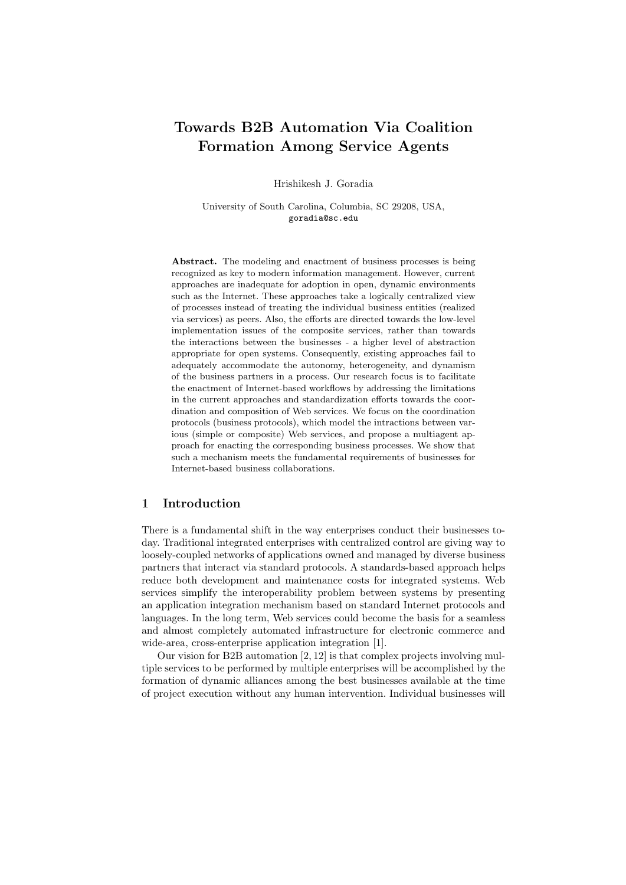# Towards B2B Automation Via Coalition Formation Among Service Agents

Hrishikesh J. Goradia

University of South Carolina, Columbia, SC 29208, USA, goradia@sc.edu

Abstract. The modeling and enactment of business processes is being recognized as key to modern information management. However, current approaches are inadequate for adoption in open, dynamic environments such as the Internet. These approaches take a logically centralized view of processes instead of treating the individual business entities (realized via services) as peers. Also, the efforts are directed towards the low-level implementation issues of the composite services, rather than towards the interactions between the businesses - a higher level of abstraction appropriate for open systems. Consequently, existing approaches fail to adequately accommodate the autonomy, heterogeneity, and dynamism of the business partners in a process. Our research focus is to facilitate the enactment of Internet-based workflows by addressing the limitations in the current approaches and standardization efforts towards the coordination and composition of Web services. We focus on the coordination protocols (business protocols), which model the intractions between various (simple or composite) Web services, and propose a multiagent approach for enacting the corresponding business processes. We show that such a mechanism meets the fundamental requirements of businesses for Internet-based business collaborations.

# 1 Introduction

There is a fundamental shift in the way enterprises conduct their businesses today. Traditional integrated enterprises with centralized control are giving way to loosely-coupled networks of applications owned and managed by diverse business partners that interact via standard protocols. A standards-based approach helps reduce both development and maintenance costs for integrated systems. Web services simplify the interoperability problem between systems by presenting an application integration mechanism based on standard Internet protocols and languages. In the long term, Web services could become the basis for a seamless and almost completely automated infrastructure for electronic commerce and wide-area, cross-enterprise application integration [1].

Our vision for B2B automation [2, 12] is that complex projects involving multiple services to be performed by multiple enterprises will be accomplished by the formation of dynamic alliances among the best businesses available at the time of project execution without any human intervention. Individual businesses will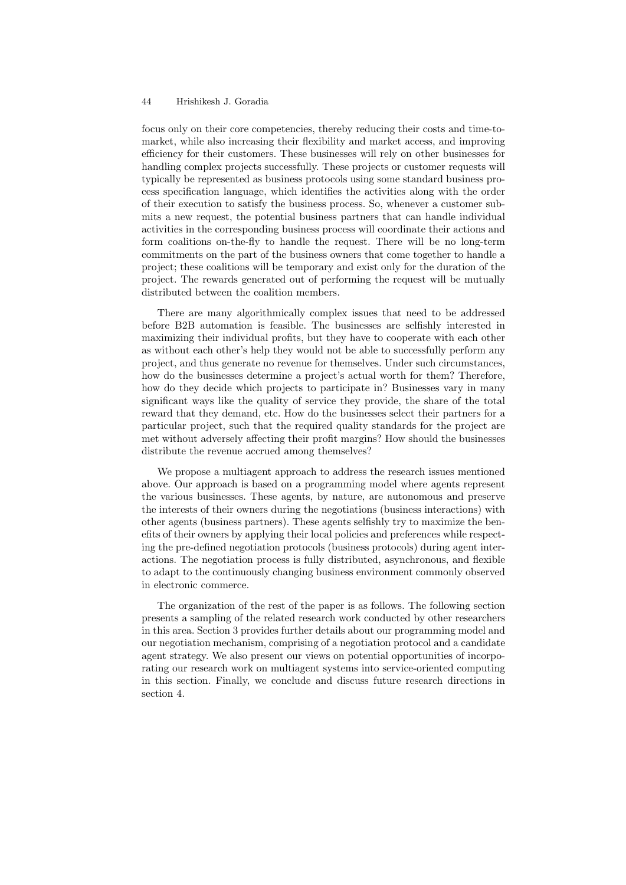### 44 Hrishikesh J. Goradia

focus only on their core competencies, thereby reducing their costs and time-tomarket, while also increasing their flexibility and market access, and improving efficiency for their customers. These businesses will rely on other businesses for handling complex projects successfully. These projects or customer requests will typically be represented as business protocols using some standard business process specification language, which identifies the activities along with the order of their execution to satisfy the business process. So, whenever a customer submits a new request, the potential business partners that can handle individual activities in the corresponding business process will coordinate their actions and form coalitions on-the-fly to handle the request. There will be no long-term commitments on the part of the business owners that come together to handle a project; these coalitions will be temporary and exist only for the duration of the project. The rewards generated out of performing the request will be mutually distributed between the coalition members.

There are many algorithmically complex issues that need to be addressed before B2B automation is feasible. The businesses are selfishly interested in maximizing their individual profits, but they have to cooperate with each other as without each other's help they would not be able to successfully perform any project, and thus generate no revenue for themselves. Under such circumstances, how do the businesses determine a project's actual worth for them? Therefore, how do they decide which projects to participate in? Businesses vary in many significant ways like the quality of service they provide, the share of the total reward that they demand, etc. How do the businesses select their partners for a particular project, such that the required quality standards for the project are met without adversely affecting their profit margins? How should the businesses distribute the revenue accrued among themselves?

We propose a multiagent approach to address the research issues mentioned above. Our approach is based on a programming model where agents represent the various businesses. These agents, by nature, are autonomous and preserve the interests of their owners during the negotiations (business interactions) with other agents (business partners). These agents selfishly try to maximize the benefits of their owners by applying their local policies and preferences while respecting the pre-defined negotiation protocols (business protocols) during agent interactions. The negotiation process is fully distributed, asynchronous, and flexible to adapt to the continuously changing business environment commonly observed in electronic commerce.

The organization of the rest of the paper is as follows. The following section presents a sampling of the related research work conducted by other researchers in this area. Section 3 provides further details about our programming model and our negotiation mechanism, comprising of a negotiation protocol and a candidate agent strategy. We also present our views on potential opportunities of incorporating our research work on multiagent systems into service-oriented computing in this section. Finally, we conclude and discuss future research directions in section 4.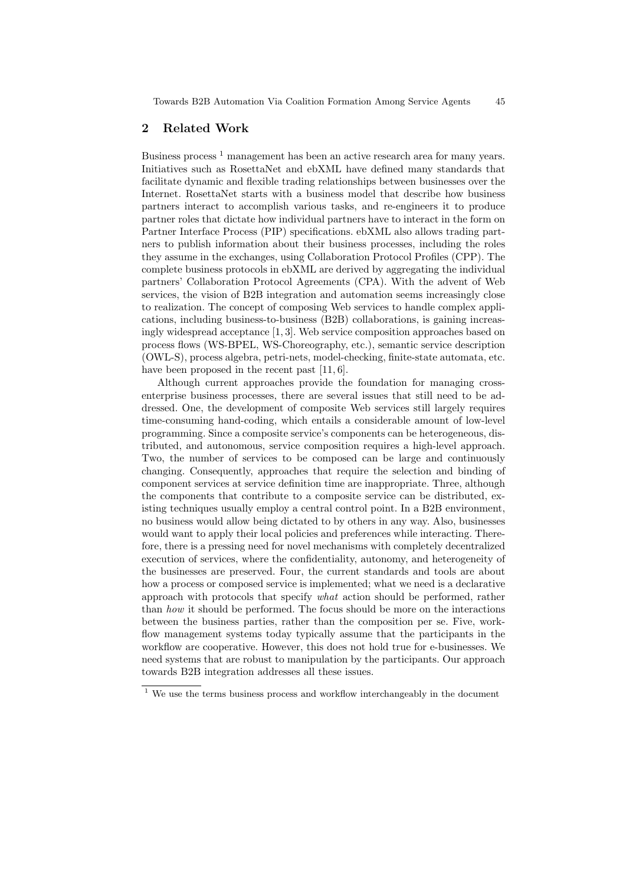## 2 Related Work

Business process<sup>1</sup> management has been an active research area for many years. Initiatives such as RosettaNet and ebXML have defined many standards that facilitate dynamic and flexible trading relationships between businesses over the Internet. RosettaNet starts with a business model that describe how business partners interact to accomplish various tasks, and re-engineers it to produce partner roles that dictate how individual partners have to interact in the form on Partner Interface Process (PIP) specifications. ebXML also allows trading partners to publish information about their business processes, including the roles they assume in the exchanges, using Collaboration Protocol Profiles (CPP). The complete business protocols in ebXML are derived by aggregating the individual partners' Collaboration Protocol Agreements (CPA). With the advent of Web services, the vision of B2B integration and automation seems increasingly close to realization. The concept of composing Web services to handle complex applications, including business-to-business (B2B) collaborations, is gaining increasingly widespread acceptance [1, 3]. Web service composition approaches based on process flows (WS-BPEL, WS-Choreography, etc.), semantic service description (OWL-S), process algebra, petri-nets, model-checking, finite-state automata, etc. have been proposed in the recent past [11, 6].

Although current approaches provide the foundation for managing crossenterprise business processes, there are several issues that still need to be addressed. One, the development of composite Web services still largely requires time-consuming hand-coding, which entails a considerable amount of low-level programming. Since a composite service's components can be heterogeneous, distributed, and autonomous, service composition requires a high-level approach. Two, the number of services to be composed can be large and continuously changing. Consequently, approaches that require the selection and binding of component services at service definition time are inappropriate. Three, although the components that contribute to a composite service can be distributed, existing techniques usually employ a central control point. In a B2B environment, no business would allow being dictated to by others in any way. Also, businesses would want to apply their local policies and preferences while interacting. Therefore, there is a pressing need for novel mechanisms with completely decentralized execution of services, where the confidentiality, autonomy, and heterogeneity of the businesses are preserved. Four, the current standards and tools are about how a process or composed service is implemented; what we need is a declarative approach with protocols that specify what action should be performed, rather than how it should be performed. The focus should be more on the interactions between the business parties, rather than the composition per se. Five, workflow management systems today typically assume that the participants in the workflow are cooperative. However, this does not hold true for e-businesses. We need systems that are robust to manipulation by the participants. Our approach towards B2B integration addresses all these issues.

 $1$  We use the terms business process and workflow interchangeably in the document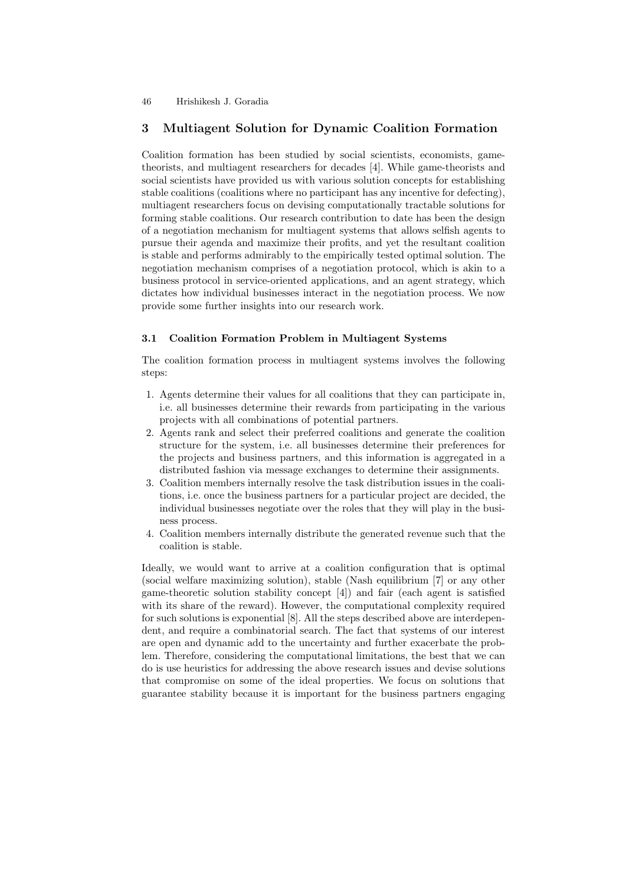## 46 Hrishikesh J. Goradia

# 3 Multiagent Solution for Dynamic Coalition Formation

Coalition formation has been studied by social scientists, economists, gametheorists, and multiagent researchers for decades [4]. While game-theorists and social scientists have provided us with various solution concepts for establishing stable coalitions (coalitions where no participant has any incentive for defecting), multiagent researchers focus on devising computationally tractable solutions for forming stable coalitions. Our research contribution to date has been the design of a negotiation mechanism for multiagent systems that allows selfish agents to pursue their agenda and maximize their profits, and yet the resultant coalition is stable and performs admirably to the empirically tested optimal solution. The negotiation mechanism comprises of a negotiation protocol, which is akin to a business protocol in service-oriented applications, and an agent strategy, which dictates how individual businesses interact in the negotiation process. We now provide some further insights into our research work.

## 3.1 Coalition Formation Problem in Multiagent Systems

The coalition formation process in multiagent systems involves the following steps:

- 1. Agents determine their values for all coalitions that they can participate in, i.e. all businesses determine their rewards from participating in the various projects with all combinations of potential partners.
- 2. Agents rank and select their preferred coalitions and generate the coalition structure for the system, i.e. all businesses determine their preferences for the projects and business partners, and this information is aggregated in a distributed fashion via message exchanges to determine their assignments.
- 3. Coalition members internally resolve the task distribution issues in the coalitions, i.e. once the business partners for a particular project are decided, the individual businesses negotiate over the roles that they will play in the business process.
- 4. Coalition members internally distribute the generated revenue such that the coalition is stable.

Ideally, we would want to arrive at a coalition configuration that is optimal (social welfare maximizing solution), stable (Nash equilibrium [7] or any other game-theoretic solution stability concept [4]) and fair (each agent is satisfied with its share of the reward). However, the computational complexity required for such solutions is exponential [8]. All the steps described above are interdependent, and require a combinatorial search. The fact that systems of our interest are open and dynamic add to the uncertainty and further exacerbate the problem. Therefore, considering the computational limitations, the best that we can do is use heuristics for addressing the above research issues and devise solutions that compromise on some of the ideal properties. We focus on solutions that guarantee stability because it is important for the business partners engaging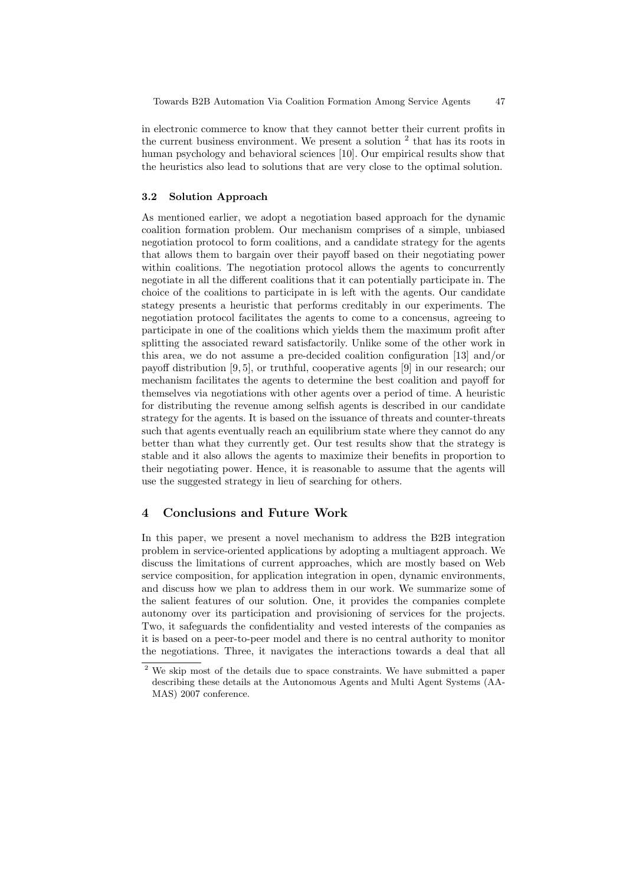in electronic commerce to know that they cannot better their current profits in the current business environment. We present a solution  $2$  that has its roots in human psychology and behavioral sciences [10]. Our empirical results show that the heuristics also lead to solutions that are very close to the optimal solution.

#### 3.2 Solution Approach

As mentioned earlier, we adopt a negotiation based approach for the dynamic coalition formation problem. Our mechanism comprises of a simple, unbiased negotiation protocol to form coalitions, and a candidate strategy for the agents that allows them to bargain over their payoff based on their negotiating power within coalitions. The negotiation protocol allows the agents to concurrently negotiate in all the different coalitions that it can potentially participate in. The choice of the coalitions to participate in is left with the agents. Our candidate stategy presents a heuristic that performs creditably in our experiments. The negotiation protocol facilitates the agents to come to a concensus, agreeing to participate in one of the coalitions which yields them the maximum profit after splitting the associated reward satisfactorily. Unlike some of the other work in this area, we do not assume a pre-decided coalition configuration [13] and/or payoff distribution [9, 5], or truthful, cooperative agents [9] in our research; our mechanism facilitates the agents to determine the best coalition and payoff for themselves via negotiations with other agents over a period of time. A heuristic for distributing the revenue among selfish agents is described in our candidate strategy for the agents. It is based on the issuance of threats and counter-threats such that agents eventually reach an equilibrium state where they cannot do any better than what they currently get. Our test results show that the strategy is stable and it also allows the agents to maximize their benefits in proportion to their negotiating power. Hence, it is reasonable to assume that the agents will use the suggested strategy in lieu of searching for others.

# 4 Conclusions and Future Work

In this paper, we present a novel mechanism to address the B2B integration problem in service-oriented applications by adopting a multiagent approach. We discuss the limitations of current approaches, which are mostly based on Web service composition, for application integration in open, dynamic environments, and discuss how we plan to address them in our work. We summarize some of the salient features of our solution. One, it provides the companies complete autonomy over its participation and provisioning of services for the projects. Two, it safeguards the confidentiality and vested interests of the companies as it is based on a peer-to-peer model and there is no central authority to monitor the negotiations. Three, it navigates the interactions towards a deal that all

<sup>&</sup>lt;sup>2</sup> We skip most of the details due to space constraints. We have submitted a paper describing these details at the Autonomous Agents and Multi Agent Systems (AA-MAS) 2007 conference.